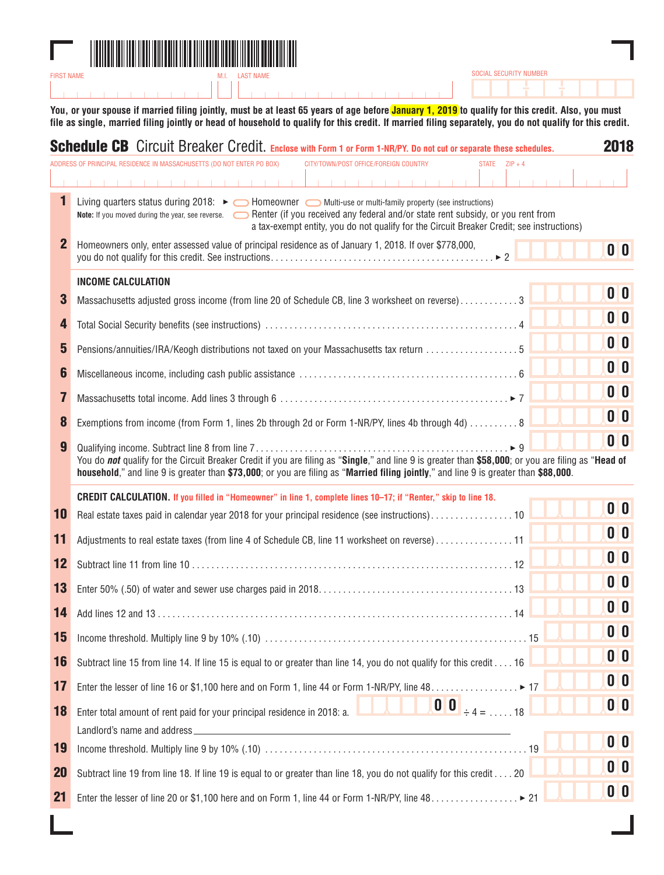

**You, or your spouse if married filing jointly, must be at least 65 years of age before January 1, 2019 to qualify for this credit. Also, you must file as single, married filing jointly or head of household to qualify for this credit. If married filing separately, you do not qualify for this credit.**

*SOCIAL SECURITY NUMBER*

|                | Schedule CB Circuit Breaker Credit. Enclose with Form 1 or Form 1-NR/PY. Do not cut or separate these schedules.                                                                                                                                                                                                                                  | 2018                      |
|----------------|---------------------------------------------------------------------------------------------------------------------------------------------------------------------------------------------------------------------------------------------------------------------------------------------------------------------------------------------------|---------------------------|
|                | ADDRESS OF PRINCIPAL RESIDENCE IN MASSACHUSETTS (DO NOT ENTER PO BOX)<br>CITY/TOWN/POST OFFICE/FOREIGN COUNTRY<br>STATE $ZIP + 4$                                                                                                                                                                                                                 |                           |
|                | <b>Carl Carl Carl</b>                                                                                                                                                                                                                                                                                                                             |                           |
| 1              | Living quarters status during 2018: ► ○ Homeowner ○ Multi-use or multi-family property (see instructions)<br>Note: If you moved during the year, see reverse. Second Renter (if you received any federal and/or state rent subsidy, or you rent from<br>a tax-exempt entity, you do not qualify for the Circuit Breaker Credit; see instructions) |                           |
| $\overline{2}$ | Homeowners only, enter assessed value of principal residence as of January 1, 2018. If over \$778,000,                                                                                                                                                                                                                                            | $\mathbf{0}$ $\mathbf{0}$ |
|                | <b>INCOME CALCULATION</b>                                                                                                                                                                                                                                                                                                                         |                           |
| 3              | Massachusetts adjusted gross income (from line 20 of Schedule CB, line 3 worksheet on reverse)3                                                                                                                                                                                                                                                   | 0 <sup>0</sup>            |
| 4              |                                                                                                                                                                                                                                                                                                                                                   | $\mathbf{0}$ $\mathbf{0}$ |
| 5              | Pensions/annuities/IRA/Keogh distributions not taxed on your Massachusetts tax return 5                                                                                                                                                                                                                                                           | $\mathbf{0}$ $\mathbf{0}$ |
| 6              |                                                                                                                                                                                                                                                                                                                                                   | 0 <sup>0</sup>            |
| 7              |                                                                                                                                                                                                                                                                                                                                                   | 0 <sup>0</sup>            |
| 8              | Exemptions from income (from Form 1, lines 2b through 2d or Form 1-NR/PY, lines 4b through 4d) 8                                                                                                                                                                                                                                                  | 0 <sup>0</sup>            |
| 9              |                                                                                                                                                                                                                                                                                                                                                   | $\mathbf{0}$ $\mathbf{0}$ |
|                | You do not qualify for the Circuit Breaker Credit if you are filing as "Single," and line 9 is greater than \$58,000; or you are filing as "Head of<br>household," and line 9 is greater than \$73,000; or you are filing as "Married filing jointly," and line 9 is greater than \$88,000.                                                       |                           |
|                | CREDIT CALCULATION. If you filled in "Homeowner" in line 1, complete lines 10-17; if "Renter," skip to line 18.                                                                                                                                                                                                                                   |                           |
| 10             | Real estate taxes paid in calendar year 2018 for your principal residence (see instructions)10                                                                                                                                                                                                                                                    | 0 <sup>0</sup>            |
| 11             | Adjustments to real estate taxes (from line 4 of Schedule CB, line 11 worksheet on reverse)11                                                                                                                                                                                                                                                     | $\mathbf{0}$ $\mathbf{0}$ |
| 12             |                                                                                                                                                                                                                                                                                                                                                   | $\mathbf{0}$ $\mathbf{0}$ |
| 13             |                                                                                                                                                                                                                                                                                                                                                   | $\mathbf{0}$ $\mathbf{0}$ |
| 14             |                                                                                                                                                                                                                                                                                                                                                   | $\mathbf{0}$ $\mathbf{0}$ |
| 15             |                                                                                                                                                                                                                                                                                                                                                   | $\mathbf{0}$ $\mathbf{0}$ |
| 16             | Subtract line 15 from line 14. If line 15 is equal to or greater than line 14, you do not qualify for this credit 16                                                                                                                                                                                                                              | 0 <sup>0</sup>            |
| 17             | Enter the lesser of line 16 or \$1,100 here and on Form 1, line 44 or Form 1-NR/PY, line 48. ▶ 17                                                                                                                                                                                                                                                 | $\mathbf{0}$ $\mathbf{0}$ |
| 18             | $\begin{bmatrix} 0 & 0 \\ 0 & +4 \\ 0 & -1 \end{bmatrix}$ + 4 = 18<br>Enter total amount of rent paid for your principal residence in 2018: a.                                                                                                                                                                                                    | $\mathbf{0}$ $\mathbf{0}$ |
|                |                                                                                                                                                                                                                                                                                                                                                   |                           |
| 19             |                                                                                                                                                                                                                                                                                                                                                   | 0 <sup>0</sup>            |
| <b>20</b>      | Subtract line 19 from line 18. If line 19 is equal to or greater than line 18, you do not qualify for this credit 20                                                                                                                                                                                                                              | 0 <sub>0</sub>            |
| 21             | Enter the lesser of line 20 or \$1,100 here and on Form 1, line 44 or Form 1-NR/PY, line 48. ▶ 21                                                                                                                                                                                                                                                 | 0 <sup>0</sup>            |